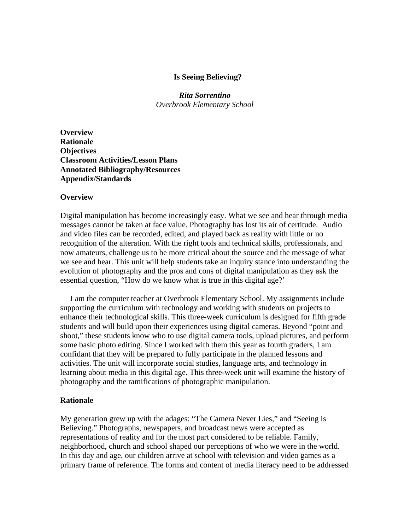## **Is Seeing Believing?**

*Rita Sorrentino Overbrook Elementary School* 

**Overview Rationale Objectives Classroom Activities/Lesson Plans Annotated Bibliography/Resources Appendix/Standards** 

#### **Overview**

Digital manipulation has become increasingly easy. What we see and hear through media messages cannot be taken at face value. Photography has lost its air of certitude. Audio and video files can be recorded, edited, and played back as reality with little or no recognition of the alteration. With the right tools and technical skills, professionals, and now amateurs, challenge us to be more critical about the source and the message of what we see and hear. This unit will help students take an inquiry stance into understanding the evolution of photography and the pros and cons of digital manipulation as they ask the essential question, "How do we know what is true in this digital age?'

 I am the computer teacher at Overbrook Elementary School. My assignments include supporting the curriculum with technology and working with students on projects to enhance their technological skills. This three-week curriculum is designed for fifth grade students and will build upon their experiences using digital cameras. Beyond "point and shoot," these students know who to use digital camera tools, upload pictures, and perform some basic photo editing. Since I worked with them this year as fourth graders, I am confidant that they will be prepared to fully participate in the planned lessons and activities. The unit will incorporate social studies, language arts, and technology in learning about media in this digital age. This three-week unit will examine the history of photography and the ramifications of photographic manipulation.

#### **Rationale**

My generation grew up with the adages: "The Camera Never Lies," and "Seeing is Believing." Photographs, newspapers, and broadcast news were accepted as representations of reality and for the most part considered to be reliable. Family, neighborhood, church and school shaped our perceptions of who we were in the world. In this day and age, our children arrive at school with television and video games as a primary frame of reference. The forms and content of media literacy need to be addressed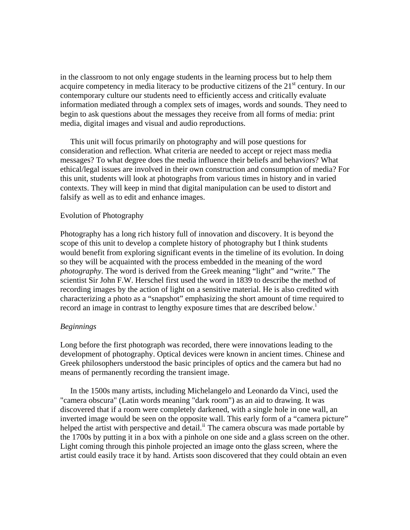in the classroom to not only engage students in the learning process but to help them acquire competency in media literacy to be productive citizens of the  $21<sup>st</sup>$  century. In our contemporary culture our students need to efficiently access and critically evaluate information mediated through a complex sets of images, words and sounds. They need to begin to ask questions about the messages they receive from all forms of media: print media, digital images and visual and audio reproductions.

 This unit will focus primarily on photography and will pose questions for consideration and reflection. What criteria are needed to accept or reject mass media messages? To what degree does the media influence their beliefs and behaviors? What ethical/legal issues are involved in their own construction and consumption of media? For this unit, students will look at photographs from various times in history and in varied contexts. They will keep in mind that digital manipulation can be used to distort and falsify as well as to edit and enhance images.

#### Evolution of Photography

Photography has a long rich history full of innovation and discovery. It is beyond the scope of this unit to develop a complete history of photography but I think students would benefit from exploring significant events in the timeline of its evolution. In doing so they will be acquainted with the process embedded in the meaning of the word *photography*. The word is derived from the Greek meaning "light" and "write." The scientist Sir John F.W. Herschel first used the word in 1839 to describe the method of recording images by the action of light on a sensitive material. He is also credited with characterizing a photo as a "snapshot" emphasizing the short amount of time required to record an [i](#page-18-0)mage in contrast to lengthy exposure times that are described below.<sup>1</sup>

#### *Beginnings*

Long before the first photograph was recorded, there were innovations leading to the development of photography. Optical devices were known in ancient times. Chinese and Greek philosophers understood the basic principles of optics and the camera but had no means of permanently recording the transient image.

 In the 1500s many artists, including Michelangelo and Leonardo da Vinci, used the "camera obscura" (Latin words meaning "dark room") as an aid to drawing. It was discovered that if a room were completely darkened, with a single hole in one wall, an inverted image would be seen on the opposite wall. This early form of a "camera picture" helped the artist with perspective and detail.<sup>[ii](#page-18-1)</sup> The camera obscura was made portable by the 1700s by putting it in a box with a pinhole on one side and a glass screen on the other. Light coming through this pinhole projected an image onto the glass screen, where the artist could easily trace it by hand. Artists soon discovered that they could obtain an even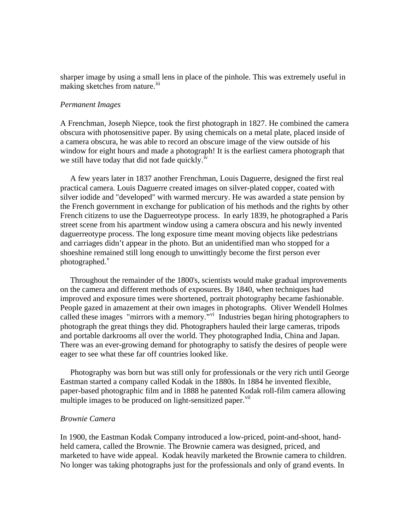sharper image by using a small lens in place of the pinhole. This was extremely useful in making sketches from nature.<sup>[iii](#page-18-1)</sup>

#### *Permanent Images*

A Frenchman, Joseph Niepce, took the first photograph in 1827. He combined the camera obscura with photosensitive paper. By using chemicals on a metal plate, placed inside of a camera obscura, he was able to record an obscure image of the view outside of his window for eight hours and made a photograph! It is the earliest camera photograph that we still have today that did not fade quickly.<sup>[iv](#page-18-1)</sup>

 A few years later in 1837 another Frenchman, Louis Daguerre, designed the first real practical camera. Louis Daguerre created images on silver-plated copper, coated with silver iodide and "developed" with warmed mercury. He was awarded a state pension by the French government in exchange for publication of his methods and the rights by other French citizens to use the Daguerreotype process. In early 1839, he photographed a Paris street scene from his apartment window using a camera obscura and his newly invented daguerreotype process. The long exposure time meant moving objects like pedestrians and carriages didn't appear in the photo. But an unidentified man who stopped for a shoeshine remained still long enough to unwittingly become the first person ever photographed. $v$ 

 Throughout the remainder of the 1800's, scientists would make gradual improvements on the camera and different methods of exposures. By 1840, when techniques had improved and exposure times were shortened, portrait photography became fashionable. People gazed in amazement at their own images in photographs. Oliver Wendell Holmes called these images "mirrors with a memory."<sup>[vi](#page-19-0)</sup> Industries began hiring photographers to photograph the great things they did. Photographers hauled their large cameras, tripods and portable darkrooms all over the world. They photographed India, China and Japan. There was an ever-growing demand for photography to satisfy the desires of people were eager to see what these far off countries looked like.

 Photography was born but was still only for professionals or the very rich until George Eastman started a company called Kodak in the 1880s. In 1884 he invented flexible, paper-based photographic film and in 1888 he patented Kodak roll-film camera allowing multiple images to be produced on light-sensitized paper.<sup>[vii](#page-19-0)</sup>

### *Brownie Camera*

In 1900, the Eastman Kodak Company introduced a low-priced, point-and-shoot, handheld camera, called the Brownie. The Brownie camera was designed, priced, and marketed to have wide appeal. Kodak heavily marketed the Brownie camera to children. No longer was taking photographs just for the professionals and only of grand events. In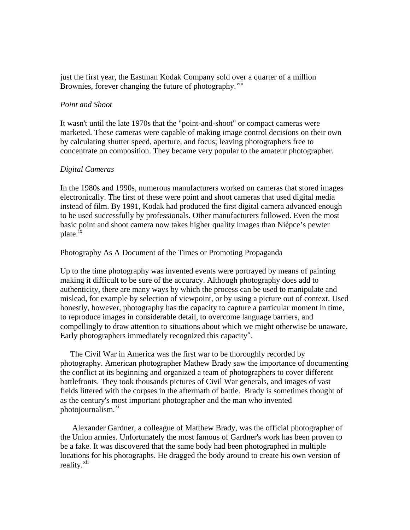just the first year, the Eastman Kodak Company sold over a quarter of a million Brownies, forever changing the future of photography.<sup>[viii](#page-19-0)</sup>

### *Point and Shoot*

It wasn't until the late 1970s that the "point-and-shoot" or compact cameras were marketed. These cameras were capable of making image control decisions on their own by calculating shutter speed, aperture, and focus; leaving photographers free to concentrate on composition. They became very popular to the amateur photographer.

### *Digital Cameras*

In the 1980s and 1990s, numerous manufacturers worked on cameras that stored images electronically. The first of these were point and shoot cameras that used digital media instead of film. By 1991, Kodak had produced the first digital camera advanced enough to be used successfully by professionals. Other manufacturers followed. Even the most basic point and shoot camera now takes higher quality images than Niépce's pewter plate.<sup>[ix](#page-19-0)</sup>

### Photography As A Document of the Times or Promoting Propaganda

Up to the time photography was invented events were portrayed by means of painting making it difficult to be sure of the accuracy. Although photography does add to authenticity, there are many ways by which the process can be used to manipulate and mislead, for example by selection of viewpoint, or by using a picture out of context. Used honestly, however, photography has the capacity to capture a particular moment in time, to reproduce images in considerable detail, to overcome language barriers, and compellingly to draw attention to situations about which we might otherwise be unaware. Early photographers immediately recognized this capacity<sup>[x](#page-19-0)</sup>.

 The Civil War in America was the first war to be thoroughly recorded by photography. American photographer Mathew Brady saw the importance of documenting the conflict at its beginning and organized a team of photographers to cover different battlefronts. They took thousands pictures of Civil War generals, and images of vast fields littered with the corpses in the aftermath of battle. Brady is sometimes thought of as the century's most important photographer and the man who invented photojournalism.<sup>[xi](#page-19-0)</sup>

 Alexander Gardner, a colleague of Matthew Brady, was the official photographer of the Union armies. Unfortunately the most famous of Gardner's work has been proven to be a fake. It was discovered that the same body had been photographed in multiple locations for his photographs. He dragged the body around to create his own version of reality.<sup>[xii](#page-19-0)</sup>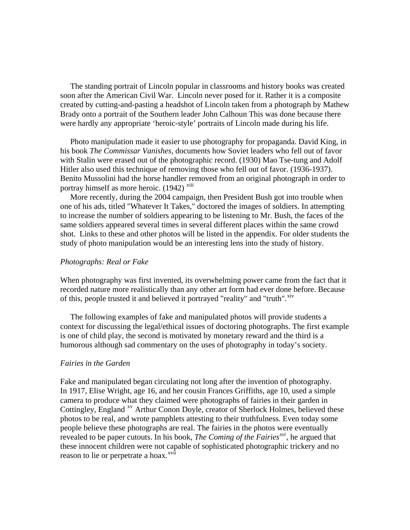The standing portrait of Lincoln popular in classrooms and history books was created soon after the American Civil War. Lincoln never posed for it. Rather it is a composite created by cutting-and-pasting a headshot of Lincoln taken from a photograph by Mathew Brady onto a portrait of the Southern leader John Calhoun This was done because there were hardly any appropriate 'heroic-style' portraits of Lincoln made during his life.

 Photo manipulation made it easier to use photography for propaganda. David King, in his book *The Commissar Vanishes*, documents how Soviet leaders who fell out of favor with Stalin were erased out of the photographic record. (1930) Mao Tse-tung and Adolf Hitler also used this technique of removing those who fell out of favor. (1936-1937). Benito Mussolini had the horse handler removed from an original photograph in order to portray himself as more heroic. (1942) <sup>[xiii](#page-19-0)</sup>

 More recently, during the 2004 campaign, then President Bush got into trouble when one of his ads, titled "Whatever It Takes," [doctored the images of soldiers](http://politicalhumor.about.com/library/images/blbushadclones.htm). In attempting to increase the number of soldiers appearing to be listening to Mr. Bush, the faces of the same soldiers appeared several times in several different places within the same crowd shot. Links to these and other photos will be listed in the appendix. For older students the study of photo manipulation would be an interesting lens into the study of history.

#### *Photographs: Real or Fake*

When photography was first invented, its overwhelming power came from the fact that it recorded nature more realistically than any other art form had ever done before. Because of this, people trusted it and believed it portrayed "reality" and "truth".<sup>[xiv](#page-19-0)</sup>

 The following examples of fake and manipulated photos will provide students a context for discussing the legal/ethical issues of doctoring photographs. The first example is one of child play, the second is motivated by monetary reward and the third is a humorous although sad commentary on the uses of photography in today's society.

#### *Fairies in the Garden*

Fake and manipulated began circulating not long after the invention of photography. In 1917, Elise Wright, age 16, and her cousin Frances Griffiths, age 10, used a simple camera to produce what they claimed were photographs of fairies in their garden in Cottingley, England<sup>[xv](#page-19-0)</sup> Arthur Conon Doyle, creator of Sherlock Holmes, believed these photos to be real, and wrote pamphlets attesting to their truthfulness. Even today some people believe these photographs are real. The fairies in the photos were eventually revealed to be paper cutouts. In his book, *The Coming of the Fairies[xvi](#page-19-0)*, he argued that these innocent children were not capable of sophisticated photographic trickery and no reason to lie or perpetrate a hoax.<sup>[xvii](#page-19-0)</sup>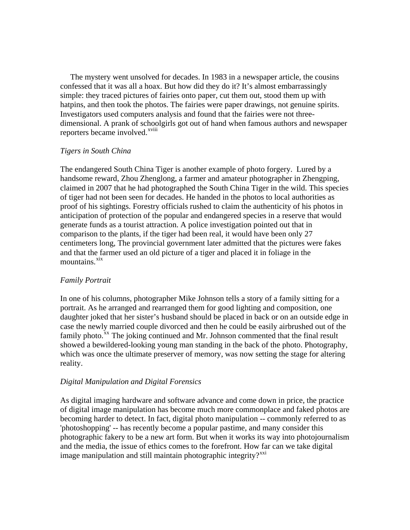The mystery went unsolved for decades. In 1983 in a newspaper article, the cousins confessed that it was all a hoax. But how did they do it? It's almost embarrassingly simple: they traced pictures of fairies onto paper, cut them out, stood them up with hatpins, and then took the photos. The fairies were paper drawings, not genuine spirits. Investigators used computers analysis and found that the fairies were not threedimensional. A prank of schoolgirls got out of hand when famous authors and newspaper reporters became involved.<sup>[xviii](#page-19-0)</sup>

## *Tigers in South China*

The endangered South China Tiger is another example of photo forgery. Lured by a handsome reward, Zhou Zhenglong, a farmer and amateur photographer in Zhengping, claimed in 2007 that he had photographed the South China Tiger in the wild. This species of tiger had not been seen for decades. He handed in the photos to local authorities as proof of his sightings. Forestry officials rushed to claim the authenticity of his photos in anticipation of protection of the popular and endangered species in a reserve that would generate funds as a tourist attraction. A police investigation pointed out that in comparison to the plants, if the tiger had been real, it would have been only 27 centimeters long, The provincial government later admitted that the pictures were fakes and that the farmer used an old picture of a tiger and placed it in foliage in the mountains. ${}^{xix}$  ${}^{xix}$  ${}^{xix}$ 

# *Family Portrait*

In one of his columns, photographer Mike Johnson tells a story of a family sitting for a portrait. As he arranged and rearranged them for good lighting and composition, one daughter joked that her sister's husband should be placed in back or on an outside edge in case the newly married couple divorced and then he could be easily airbrushed out of the family photo.<sup>[xx](#page-19-0)</sup> The joking continued and Mr. Johnson commented that the final result showed a bewildered-looking young man standing in the back of the photo. Photography, which was once the ultimate preserver of memory, was now setting the stage for altering reality.

# *Digital Manipulation and Digital Forensics*

As digital imaging hardware and software advance and come down in price, the practice of digital image manipulation has become much more commonplace and faked photos are becoming harder to detect. In fact, digital photo manipulation -- commonly referred to as 'photoshopping' -- has recently become a popular pastime, and many consider this photographic fakery to be a new art form. But when it works its way into photojournalism and the media, the issue of ethics comes to the forefront. How far can we take digital image manipulation and still maintain photographic integrity? $x^{xxi}$  $x^{xxi}$  $x^{xxi}$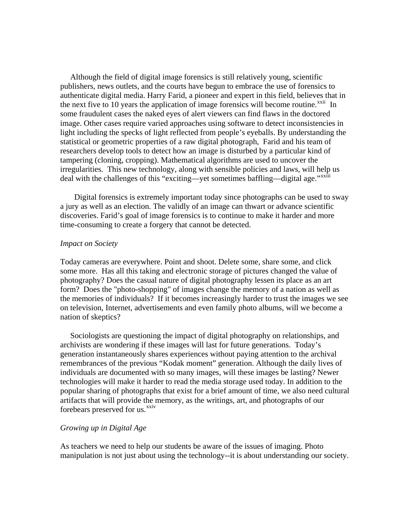Although the field of digital image forensics is still relatively young, scientific publishers, news outlets, and the courts have begun to embrace the use of forensics to authenticate digital media. Harry Farid, a pioneer and expert in this field, believes that in the next five to 10 years the application of image forensics will become routine.<sup> $xxi$ i</sup> In some fraudulent cases the naked eyes of alert viewers can find flaws in the doctored image. Other cases require varied approaches using software to detect inconsistencies in light including the specks of light reflected from people's eyeballs. By understanding the statistical or geometric properties of a raw digital photograph, Farid and his team of researchers develop tools to detect how an image is disturbed by a particular kind of tampering (cloning, cropping). Mathematical algorithms are used to uncover the irregularities. This new technology, along with sensible policies and laws, will help us deal with the challenges of this "exciting—yet sometimes baffling—digital age."<sup>[xxiii](#page-19-0)</sup>

 Digital forensics is extremely important today since photographs can be used to sway a jury as well as an election. The validly of an image can thwart or advance scientific discoveries. Farid's goal of image forensics is to continue to make it harder and more time-consuming to create a forgery that cannot be detected.

### *Impact on Society*

Today cameras are everywhere. Point and shoot. Delete some, share some, and click some more. Has all this taking and electronic storage of pictures changed the value of photography? Does the casual nature of digital photography lessen its place as an art form? Does the "photo-shopping" of images change the memory of a nation as well as the memories of individuals? If it becomes increasingly harder to trust the images we see on television, Internet, advertisements and even family photo albums, will we become a nation of skeptics?

 Sociologists are questioning the impact of digital photography on relationships, and archivists are wondering if these images will last for future generations. Today's generation instantaneously shares experiences without paying attention to the archival remembrances of the previous "Kodak moment" generation. Although the daily lives of individuals are documented with so many images, will these images be lasting? Newer technologies will make it harder to read the media storage used today. In addition to the popular sharing of photographs that exist for a brief amount of time, we also need cultural artifacts that will provide the memory, as the writings, art, and photographs of our forebears preserved for us.<sup>[xxiv](#page-19-0)</sup>

### *Growing up in Digital Age*

As teachers we need to help our students be aware of the issues of imaging. Photo manipulation is not just about using the technology--it is about understanding our society.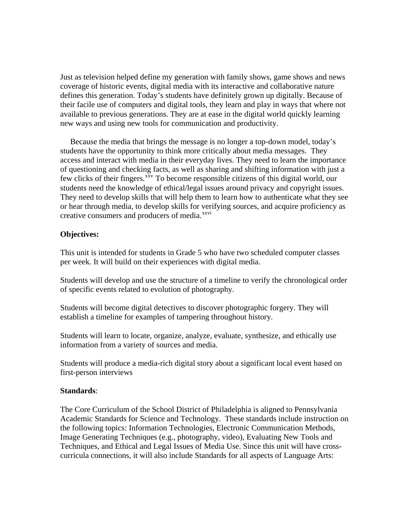Just as television helped define my generation with family shows, game shows and news coverage of historic events, digital media with its interactive and collaborative nature defines this generation. Today's students have definitely grown up digitally. Because of their facile use of computers and digital tools, they learn and play in ways that where not available to previous generations. They are at ease in the digital world quickly learning new ways and using new tools for communication and productivity.

 Because the media that brings the message is no longer a top-down model, today's students have the opportunity to think more critically about media messages. They access and interact with media in their everyday lives. They need to learn the importance of questioning and checking facts, as well as sharing and shifting information with just a few clicks of their fingers.<sup>[xxv](#page-19-0)</sup> To become responsible citizens of this digital world, our students need the knowledge of ethical/legal issues around privacy and copyright issues. They need to develop skills that will help them to learn how to authenticate what they see or hear through media, to develop skills for verifying sources, and acquire proficiency as creative consumers and producers of media.<sup>[xxvi](#page-19-0)</sup>

# **Objectives:**

This unit is intended for students in Grade 5 who have two scheduled computer classes per week. It will build on their experiences with digital media.

Students will develop and use the structure of a timeline to verify the chronological order of specific events related to evolution of photography.

Students will become digital detectives to discover photographic forgery. They will establish a timeline for examples of tampering throughout history.

Students will learn to locate, organize, analyze, evaluate, synthesize, and ethically use information from a variety of sources and media.

Students will produce a media-rich digital story about a significant local event based on first-person interviews

### **Standards**:

The Core Curriculum of the School District of Philadelphia is aligned to Pennsylvania Academic Standards for Science and Technology. These standards include instruction on the following topics: Information Technologies, Electronic Communication Methods, Image Generating Techniques (e.g., photography, video), Evaluating New Tools and Techniques, and Ethical and Legal Issues of Media Use. Since this unit will have crosscurricula connections, it will also include Standards for all aspects of Language Arts: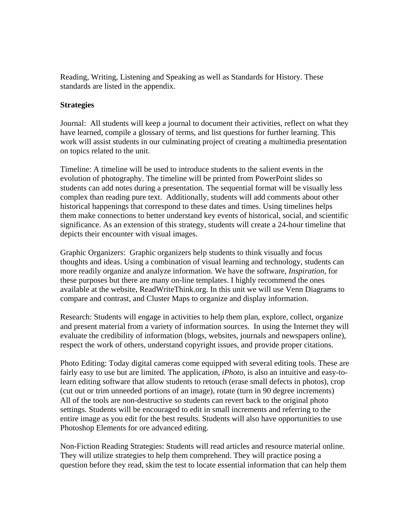Reading, Writing, Listening and Speaking as well as Standards for History. These standards are listed in the appendix.

# **Strategies**

Journal: All students will keep a journal to document their activities, reflect on what they have learned, compile a glossary of terms, and list questions for further learning. This work will assist students in our culminating project of creating a multimedia presentation on topics related to the unit.

Timeline: A timeline will be used to introduce students to the salient events in the evolution of photography. The timeline will be printed from PowerPoint slides so students can add notes during a presentation. The sequential format will be visually less complex than reading pure text. Additionally, students will add comments about other historical happenings that correspond to these dates and times. Using timelines helps them make connections to better understand key events of historical, social, and scientific significance. As an extension of this strategy, students will create a 24-hour timeline that depicts their encounter with visual images.

Graphic Organizers: Graphic organizers help students to think visually and focus thoughts and ideas. Using a combination of visual learning and technology, students can more readily organize and analyze information. We have the software, *Inspiration,* for these purposes but there are many on-line templates. I highly recommend the ones available at the website, ReadWriteThink.org. In this unit we will use Venn Diagrams to compare and contrast, and Cluster Maps to organize and display information.

Research: Students will engage in activities to help them plan, explore, collect, organize and present material from a variety of information sources. In using the Internet they will evaluate the credibility of information (blogs, websites, journals and newspapers online), respect the work of others, understand copyright issues, and provide proper citations.

Photo Editing: Today digital cameras come equipped with several editing tools. These are fairly easy to use but are limited. The application, *iPhoto,* is also an intuitive and easy-tolearn editing software that allow students to retouch (erase small defects in photos), crop (cut out or trim unneeded portions of an image), rotate (turn in 90 degree increments) All of the tools are non-destructive so students can revert back to the original photo settings. Students will be encouraged to edit in small increments and referring to the entire image as you edit for the best results. Students will also have opportunities to use Photoshop Elements for ore advanced editing.

Non-Fiction Reading Strategies: Students will read articles and resource material online. They will utilize strategies to help them comprehend. They will practice posing a question before they read, skim the test to locate essential information that can help them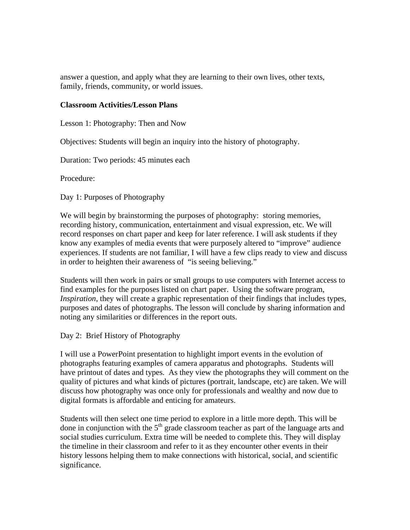answer a question, and apply what they are learning to their own lives, other texts, family, friends, community, or world issues.

## **Classroom Activities/Lesson Plans**

Lesson 1: Photography: Then and Now

Objectives: Students will begin an inquiry into the history of photography.

Duration: Two periods: 45 minutes each

Procedure:

Day 1: Purposes of Photography

We will begin by brainstorming the purposes of photography: storing memories, recording history, communication, entertainment and visual expression, etc. We will record responses on chart paper and keep for later reference. I will ask students if they know any examples of media events that were purposely altered to "improve" audience experiences. If students are not familiar, I will have a few clips ready to view and discuss in order to heighten their awareness of "is seeing believing."

Students will then work in pairs or small groups to use computers with Internet access to find examples for the purposes listed on chart paper. Using the software program, *Inspiration*, they will create a graphic representation of their findings that includes types, purposes and dates of photographs. The lesson will conclude by sharing information and noting any similarities or differences in the report outs.

Day 2: Brief History of Photography

I will use a PowerPoint presentation to highlight import events in the evolution of photographs featuring examples of camera apparatus and photographs. Students will have printout of dates and types. As they view the photographs they will comment on the quality of pictures and what kinds of pictures (portrait, landscape, etc) are taken. We will discuss how photography was once only for professionals and wealthy and now due to digital formats is affordable and enticing for amateurs.

Students will then select one time period to explore in a little more depth. This will be done in conjunction with the  $5<sup>th</sup>$  grade classroom teacher as part of the language arts and social studies curriculum. Extra time will be needed to complete this. They will display the timeline in their classroom and refer to it as they encounter other events in their history lessons helping them to make connections with historical, social, and scientific significance.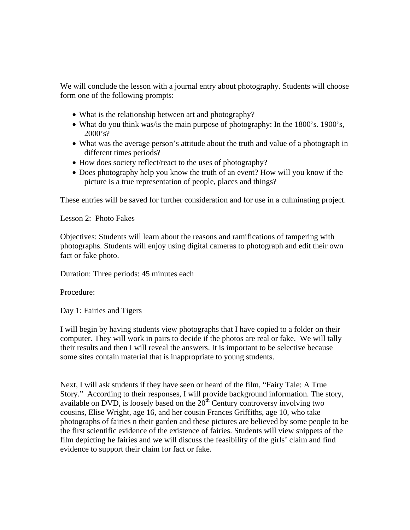We will conclude the lesson with a journal entry about photography. Students will choose form one of the following prompts:

- What is the relationship between art and photography?
- What do you think was/is the main purpose of photography: In the 1800's. 1900's,  $2000's?$
- What was the average person's attitude about the truth and value of a photograph in different times periods?
- How does society reflect/react to the uses of photography?
- Does photography help you know the truth of an event? How will you know if the picture is a true representation of people, places and things?

These entries will be saved for further consideration and for use in a culminating project.

Lesson 2: Photo Fakes

Objectives: Students will learn about the reasons and ramifications of tampering with photographs. Students will enjoy using digital cameras to photograph and edit their own fact or fake photo.

Duration: Three periods: 45 minutes each

Procedure:

Day 1: Fairies and Tigers

I will begin by having students view photographs that I have copied to a folder on their computer. They will work in pairs to decide if the photos are real or fake. We will tally their results and then I will reveal the answers. It is important to be selective because some sites contain material that is inappropriate to young students.

Next, I will ask students if they have seen or heard of the film, "Fairy Tale: A True Story." According to their responses, I will provide background information. The story, available on DVD, is loosely based on the  $20<sup>th</sup>$  Century controversy involving two cousins, Elise Wright, age 16, and her cousin Frances Griffiths, age 10, who take photographs of fairies n their garden and these pictures are believed by some people to be the first scientific evidence of the existence of fairies. Students will view snippets of the film depicting he fairies and we will discuss the feasibility of the girls' claim and find evidence to support their claim for fact or fake.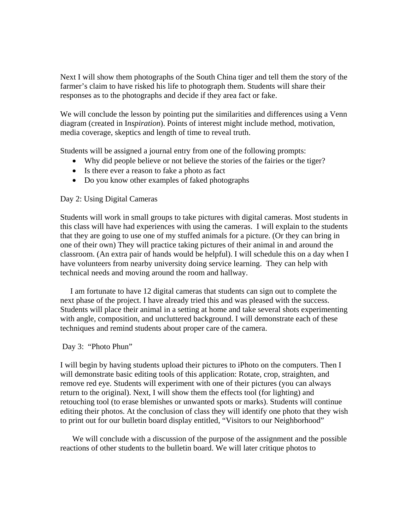Next I will show them photographs of the South China tiger and tell them the story of the farmer's claim to have risked his life to photograph them. Students will share their responses as to the photographs and decide if they area fact or fake.

We will conclude the lesson by pointing put the similarities and differences using a Venn diagram (created in I*nspiration*). Points of interest might include method, motivation, media coverage, skeptics and length of time to reveal truth.

Students will be assigned a journal entry from one of the following prompts:

- Why did people believe or not believe the stories of the fairies or the tiger?
- Is there ever a reason to fake a photo as fact
- Do you know other examples of faked photographs

# Day 2: Using Digital Cameras

Students will work in small groups to take pictures with digital cameras. Most students in this class will have had experiences with using the cameras. I will explain to the students that they are going to use one of my stuffed animals for a picture. (Or they can bring in one of their own) They will practice taking pictures of their animal in and around the classroom. (An extra pair of hands would be helpful). I will schedule this on a day when I have volunteers from nearby university doing service learning. They can help with technical needs and moving around the room and hallway.

 I am fortunate to have 12 digital cameras that students can sign out to complete the next phase of the project. I have already tried this and was pleased with the success. Students will place their animal in a setting at home and take several shots experimenting with angle, composition, and uncluttered background. I will demonstrate each of these techniques and remind students about proper care of the camera.

### Day 3: "Photo Phun"

I will begin by having students upload their pictures to iPhoto on the computers. Then I will demonstrate basic editing tools of this application: Rotate, crop, straighten, and remove red eye. Students will experiment with one of their pictures (you can always return to the original). Next, I will show them the effects tool (for lighting) and retouching tool (to erase blemishes or unwanted spots or marks). Students will continue editing their photos. At the conclusion of class they will identify one photo that they wish to print out for our bulletin board display entitled, "Visitors to our Neighborhood"

 We will conclude with a discussion of the purpose of the assignment and the possible reactions of other students to the bulletin board. We will later critique photos to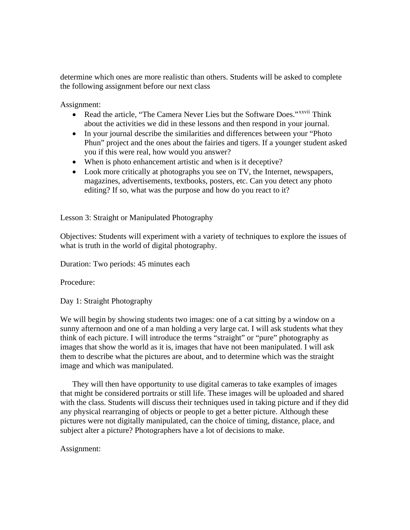determine which ones are more realistic than others. Students will be asked to complete the following assignment before our next class

Assignment:

- Read the article, "The Camera Never Lies but the Software Does."<sup>[xxvii](#page-20-0)</sup> Think about the activities we did in these lessons and then respond in your journal.
- In your journal describe the similarities and differences between your "Photo" Phun" project and the ones about the fairies and tigers. If a younger student asked you if this were real, how would you answer?
- When is photo enhancement artistic and when is it deceptive?
- Look more critically at photographs you see on TV, the Internet, newspapers, magazines, advertisements, textbooks, posters, etc. Can you detect any photo editing? If so, what was the purpose and how do you react to it?

Lesson 3: Straight or Manipulated Photography

Objectives: Students will experiment with a variety of techniques to explore the issues of what is truth in the world of digital photography.

Duration: Two periods: 45 minutes each

Procedure:

Day 1: Straight Photography

We will begin by showing students two images: one of a cat sitting by a window on a sunny afternoon and one of a man holding a very large cat. I will ask students what they think of each picture. I will introduce the terms "straight" or "pure" photography as images that show the world as it is, images that have not been manipulated. I will ask them to describe what the pictures are about, and to determine which was the straight image and which was manipulated.

 They will then have opportunity to use digital cameras to take examples of images that might be considered portraits or still life. These images will be uploaded and shared with the class. Students will discuss their techniques used in taking picture and if they did any physical rearranging of objects or people to get a better picture. Although these pictures were not digitally manipulated, can the choice of timing, distance, place, and subject alter a picture? Photographers have a lot of decisions to make.

# Assignment: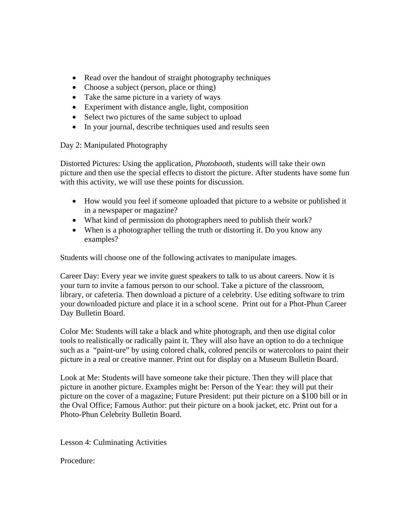- Read over the handout of straight photography techniques
- Choose a subject (person, place or thing)
- Take the same picture in a variety of ways
- Experiment with distance angle, light, composition
- Select two pictures of the same subject to upload
- In your journal, describe techniques used and results seen

# Day 2: Manipulated Photography

Distorted Pictures: Using the application, *Photobooth*, students will take their own picture and then use the special effects to distort the picture. After students have some fun with this activity, we will use these points for discussion.

- How would you feel if someone uploaded that picture to a website or published it in a newspaper or magazine?
- What kind of permission do photographers need to publish their work?
- When is a photographer telling the truth or distorting it. Do you know any examples?

Students will choose one of the following activates to manipulate images.

Career Day: Every year we invite guest speakers to talk to us about careers. Now it is your turn to invite a famous person to our school. Take a picture of the classroom, library, or cafeteria. Then download a picture of a celebrity. Use editing software to trim your downloaded picture and place it in a school scene. Print out for a Phot-Phun Career Day Bulletin Board.

Color Me: Students will take a black and white photograph, and then use digital color tools to realistically or radically paint it. They will also have an option to do a technique such as a "paint-ure" by using colored chalk, colored pencils or watercolors to paint their picture in a real or creative manner. Print out for display on a Museum Bulletin Board.

Look at Me: Students will have someone take their picture. Then they will place that picture in another picture. Examples might be: Person of the Year: they will put their picture on the cover of a magazine; Future President: put their picture on a \$100 bill or in the Oval Office; Famous Author: put their picture on a book jacket, etc. Print out for a Photo-Phun Celebrity Bulletin Board.

Lesson 4: Culminating Activities

Procedure: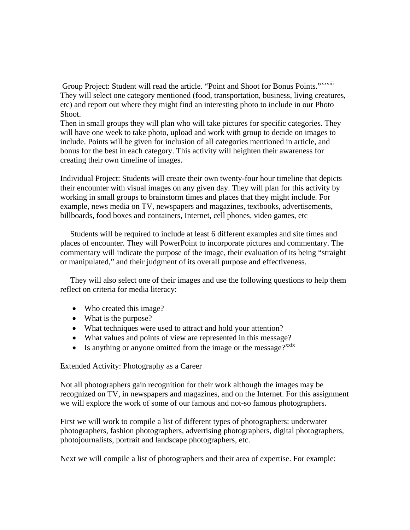Group Project: Student will read the article. "Point and Shoot for Bonus Points." [xxviii](#page-20-0) They will select one category mentioned (food, transportation, business, living creatures, etc) and report out where they might find an interesting photo to include in our Photo Shoot.

Then in small groups they will plan who will take pictures for specific categories. They will have one week to take photo, upload and work with group to decide on images to include. Points will be given for inclusion of all categories mentioned in article, and bonus for the best in each category. This activity will heighten their awareness for creating their own timeline of images.

Individual Project: Students will create their own twenty-four hour timeline that depicts their encounter with visual images on any given day. They will plan for this activity by working in small groups to brainstorm times and places that they might include. For example, news media on TV, newspapers and magazines, textbooks, advertisements, billboards, food boxes and containers, Internet, cell phones, video games, etc

 Students will be required to include at least 6 different examples and site times and places of encounter. They will PowerPoint to incorporate pictures and commentary. The commentary will indicate the purpose of the image, their evaluation of its being "straight or manipulated," and their judgment of its overall purpose and effectiveness.

 They will also select one of their images and use the following questions to help them reflect on criteria for media literacy:

- Who created this image?
- What is the purpose?
- What techniques were used to attract and hold your attention?
- What values and points of view are represented in this message?
- Is anything or anyone omitted from the image or the message? $x^{x}$

Extended Activity: Photography as a Career

Not all photographers gain recognition for their work although the images may be recognized on TV, in newspapers and magazines, and on the Internet. For this assignment we will explore the work of some of our famous and not-so famous photographers.

First we will work to compile a list of different types of photographers: underwater photographers, fashion photographers, advertising photographers, digital photographers, photojournalists, portrait and landscape photographers, etc.

Next we will compile a list of photographers and their area of expertise. For example: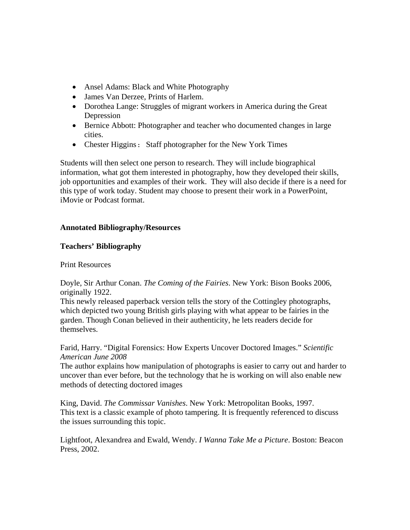- Ansel Adams: Black and White Photography
- James Van Derzee, Prints of Harlem.
- Dorothea Lange: Struggles of migrant workers in America during the Great Depression
- Bernice Abbott: Photographer and teacher who documented changes in large cities.
- Chester Higgins: Staff photographer for the New York Times

Students will then select one person to research. They will include biographical information, what got them interested in photography, how they developed their skills, job opportunities and examples of their work. They will also decide if there is a need for this type of work today. Student may choose to present their work in a PowerPoint, iMovie or Podcast format.

# **Annotated Bibliography/Resources**

# **Teachers' Bibliography**

# Print Resources

Doyle, Sir Arthur Conan. *The Coming of the Fairies*. New York: Bison Books 2006, originally 1922.

This newly released paperback version tells the story of the Cottingley photographs, which depicted two young British girls playing with what appear to be fairies in the garden. Though Conan believed in their authenticity, he lets readers decide for themselves.

Farid, Harry. "Digital Forensics: How Experts Uncover Doctored Images." *Scientific American June 2008* 

The author explains how manipulation of photographs is easier to carry out and harder to uncover than ever before, but the technology that he is working on will also enable new methods of detecting doctored images

King, David. *The Commissar Vanishes*. New York: Metropolitan Books, 1997. This text is a classic example of photo tampering. It is frequently referenced to discuss the issues surrounding this topic.

Lightfoot, Alexandrea and Ewald, Wendy. *I Wanna Take Me a Picture*. Boston: Beacon Press, 2002.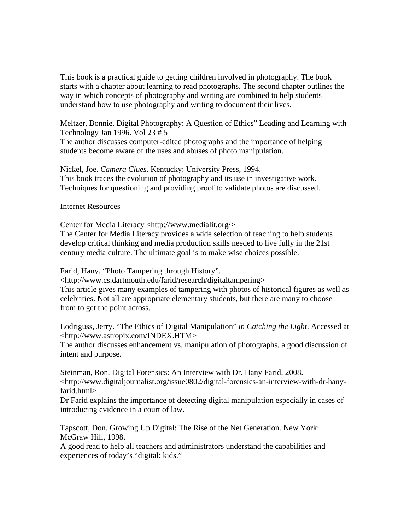This book is a practical guide to getting children involved in photography. The book starts with a chapter about learning to read photographs. The second chapter outlines the way in which concepts of photography and writing are combined to help students understand how to use photography and writing to document their lives.

Meltzer, Bonnie. Digital Photography: A Question of Ethics" Leading and Learning with Technology Jan 1996. Vol 23 # 5 The author discusses computer-edited photographs and the importance of helping students become aware of the uses and abuses of photo manipulation.

Nickel, Joe. *Camera Clues*. Kentucky: University Press, 1994. This book traces the evolution of photography and its use in investigative work. Techniques for questioning and providing proof to validate photos are discussed.

Internet Resources

Center for Media Literacy <http://www.medialit.org/>

The Center for Media Literacy provides a wide selection of teaching to help students develop critical thinking and media production skills needed to live fully in the 21st century media culture. The ultimate goal is to make wise choices possible.

Farid, Hany. "Photo Tampering through History".

<http://www.cs.dartmouth.edu/farid/research/digitaltampering>

This article gives many examples of tampering with photos of historical figures as well as celebrities. Not all are appropriate elementary students, but there are many to choose from to get the point across.

Lodriguss, Jerry. "The Ethics of Digital Manipulation" *in Catching the Light*. Accessed at <http://www.astropix.com/INDEX.HTM>

The author discusses enhancement vs. manipulation of photographs, a good discussion of intent and purpose.

Steinman, Ron. Digital Forensics: An Interview with Dr. Hany Farid, 2008. <http://www.digitaljournalist.org/issue0802/digital-forensics-an-interview-with-dr-hanyfarid.html>

Dr Farid explains the importance of detecting digital manipulation especially in cases of introducing evidence in a court of law.

Tapscott, Don. Growing Up Digital: The Rise of the Net Generation. New York: McGraw Hill, 1998.

A good read to help all teachers and administrators understand the capabilities and experiences of today's "digital: kids."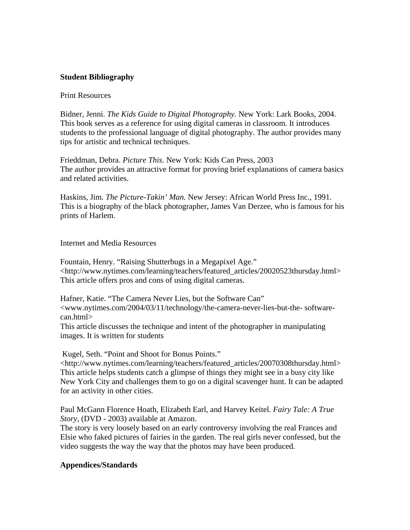# **Student Bibliography**

### Print Resources

Bidner, Jenni. *The Kids Guide to Digital Photography.* New York: Lark Books, 2004. This book serves as a reference for using digital cameras in classroom. It introduces students to the professional language of digital photography. The author provides many tips for artistic and technical techniques.

Frieddman, Debra. *Picture This*. New York: Kids Can Press, 2003 The author provides an attractive format for proving brief explanations of camera basics and related activities.

Haskins, Jim*. The Picture-Takin' Man.* New Jersey: African World Press Inc., 1991. This is a biography of the black photographer, James Van Derzee, who is famous for his prints of Harlem.

Internet and Media Resources

Fountain, Henry. "Raising Shutterbugs in a Megapixel Age." <http://www.nytimes.com/learning/teachers/featured\_articles/20020523thursday.html> This article offers pros and cons of using digital cameras.

Hafner, Katie. "The Camera Never Lies, but the Software Can" <www.nytimes.com/2004/03/11/technology/the-camera-never-lies-but-the- softwarecan.html>

This article discusses the technique and intent of the photographer in manipulating images. It is written for students

Kugel, Seth. "Point and Shoot for Bonus Points."

<http://www.nytimes.com/learning/teachers/featured\_articles/20070308thursday.html> This article helps students catch a glimpse of things they might see in a busy city like New York City and challenges them to go on a digital scavenger hunt. It can be adapted for an activity in other cities.

Paul McGann Florence Hoath, Elizabeth Earl, and Harvey Keitel*. Fairy Tale: A True Story*, (DVD - 2003) available at Amazon.

The story is very loosely based on an early controversy involving the real Frances and Elsie who faked pictures of fairies in the garden. The real girls never confessed, but the video suggests the way the way that the photos may have been produced.

# **Appendices/Standards**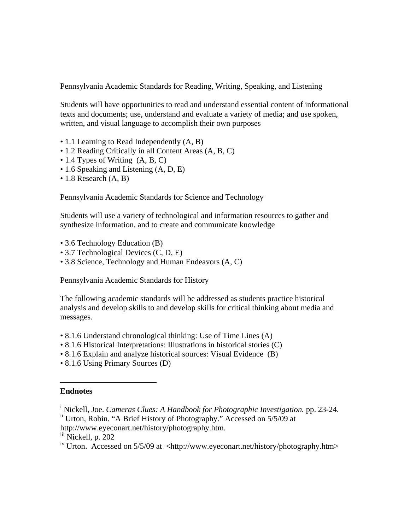<span id="page-18-1"></span>Pennsylvania Academic Standards for Reading, Writing, Speaking, and Listening

Students will have opportunities to read and understand essential content of informational texts and documents; use, understand and evaluate a variety of media; and use spoken, written, and visual language to accomplish their own purposes

- 1.1 Learning to Read Independently  $(A, B)$
- 1.2 Reading Critically in all Content Areas (A, B, C)
- 1.4 Types of Writing  $(A, B, C)$
- 1.6 Speaking and Listening (A, D, E)
- 1.8 Research (A, B)

Pennsylvania Academic Standards for Science and Technology

Students will use a variety of technological and information resources to gather and synthesize information, and to create and communicate knowledge

- 3.6 Technology Education (B)
- 3.7 Technological Devices (C, D, E)
- 3.8 Science, Technology and Human Endeavors (A, C)

Pennsylvania Academic Standards for History

The following academic standards will be addressed as students practice historical analysis and develop skills to and develop skills for critical thinking about media and messages.

- 8.1.6 Understand chronological thinking: Use of Time Lines (A)
- 8.1.6 Historical Interpretations: Illustrations in historical stories (C)
- 8.1.6 Explain and analyze historical sources: Visual Evidence (B)
- 8.1.6 Using Primary Sources (D)

### <span id="page-18-0"></span>**Endnotes**

1

<http://www.eyeconart.net/history/photography.htm>.<br>[iii](http://www.eyeconart.net/history/photography.htm) Nickell, p. 202

<sup>&</sup>lt;sup>i</sup> Nickell, Joe. *Cameras Clues: A Handbook for Photographic Investigation.* pp. 23-24. ii Urton, Robin. "A Brief History of Photography." Accessed on 5/5/09 at

<sup>&</sup>lt;sup>iv</sup> Urton. Accessed on 5/5/09 at <[http://www.eyeconart.net/history/photography.htm>](http://www.eyeconart.net/history/photography.htm)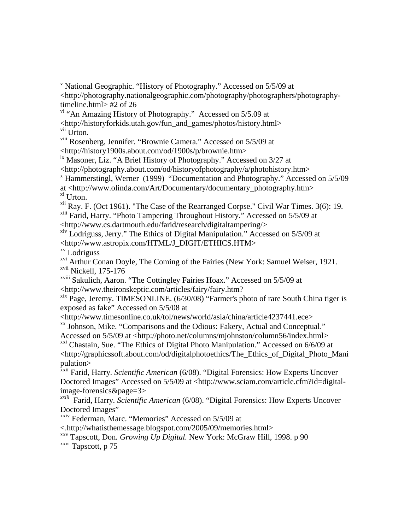```
 v
 National Geographic. "History of Photography." Accessed on 5/5/09 at 
<http://photography.nationalgeographic.com/photography/photographers/photography-
timeline.html> #2 of 26
```
vi "An Amazing History of Photography." Accessed on 5/5.09 at <http://historyforkids.utah.gov/fun\_and\_games/photos/history.html> vii Urton.

viii Rosenberg, Jennifer. "Brownie Camera." Accessed on 5/5/09 at <[http://history1900s.about.com/od/1900s/p/brownie.htm>](http://history1900s.about.com/od/1900s/p/brownie.htm)

 $\frac{1}{10}$  Masoner, Liz. "A Brief History of Photography." Accessed on 3/27 at

<http://photography.about.com/od/historyofphotography/a/photohistory.htm> x

Hammerstingl, Werner (1999) "Documentation and Photography." Accessed on 5/5/09

at <http://www.olinda.com/Art/Documentary/documentary\_photography.htm> xi Urton.

 $xii$  Ray. F. (Oct 1961). "The Case of the Rearranged Corpse." Civil War Times. 3(6): 19.

xiii Farid, Harry. "Photo Tampering Throughout History." Accessed on 5/5/09 at <http://www.cs.dartmouth.edu/farid/research/digitaltampering/>

xiv Lodriguss, Jerry." The Ethics of Digital Manipulation." Accessed on 5/5/09 at <http://www.astropix.com/HTML/J\_DIGIT/ETHICS.HTM>

xv Lodriguss

<sup>xvi</sup> Arthur Conan Doyle, The Coming of the Fairies (New York: Samuel Weiser, 1921. xvii Nickell, 175-176

xviii Sakulich, Aaron. "The Cottingley Fairies Hoax." Accessed on 5/5/09 at <http://www.theironskeptic.com/articles/fairy/fairy.htm?

xix Page, Jeremy. TIMESONLINE. (6/30/08) "Farmer's photo of rare South China tiger is exposed as fake" Accessed on 5/5/08 at

<http://www.timesonline.co.uk/tol/news/world/asia/china/article4237441.ece> xx Johnson, Mike. "Comparisons and the Odious: Fakery, Actual and Conceptual."

Accessed on 5/5/09 at <http://photo.net/columns/mjohnston/column56/index.html>

<sup>xxi</sup> Chastain, Sue. "The Ethics of Digital Photo Manipulation." Accessed on 6/6/09 at <[http://graphicssoft.about.com/od/digitalphotoethics/The\\_Ethics\\_of\\_Digital\\_Photo\\_Mani](http://graphicssoft.about.com/od/digitalphotoethics/The_Ethics_of_Digital_Photo_Manipulation) [pulation](http://graphicssoft.about.com/od/digitalphotoethics/The_Ethics_of_Digital_Photo_Manipulation)>

<sup>xxii</sup> Farid, Harry. *Scientific American* (6/08). "Digital Forensics: How Experts Uncover Doctored Images" Accessed on 5/5/09 at <http://www.sciam.com/article.cfm?id=digitalimage-forensics&page=3>

*xxiii* Farid, Harry*. Scientific American* (6/08). "Digital Forensics: How Experts Uncover Doctored Images"

xxiv Federman, Marc. "Memories" Accessed on 5/5/09 at

<.<http://whatisthemessage.blogspot.com/2005/09/memories.html>> xx[v](http://whatisthemessage.blogspot.com/2005/09/memories.html) Tapscott, Don*. Growing Up Digital.* New York: McGraw Hill, 1998. p 90

xxvi Tapscott, p 75